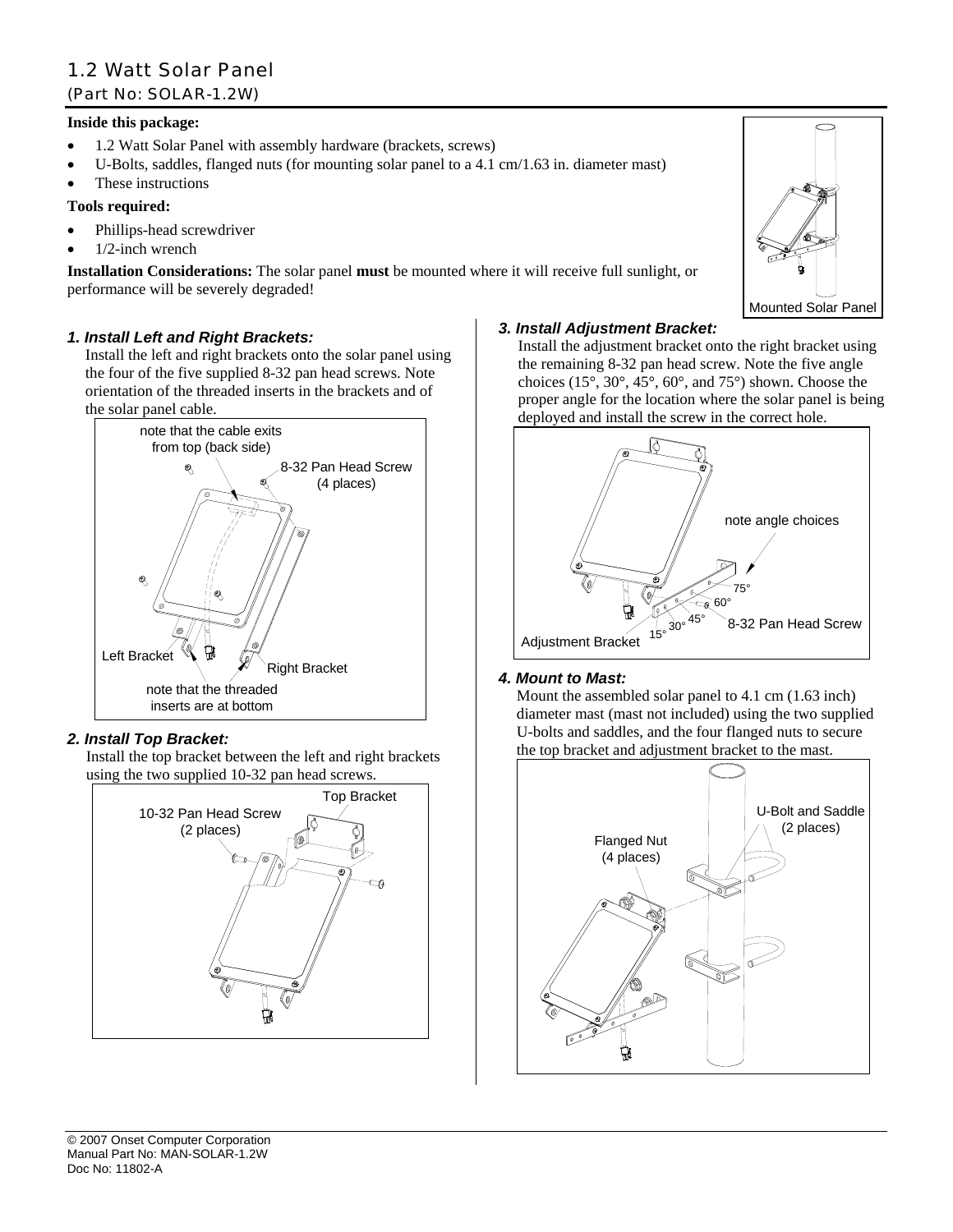# 1.2 Watt Solar Panel (Part No: SOLAR-1.2W)

### **Inside this package:**

- 1.2 Watt Solar Panel with assembly hardware (brackets, screws)
- U-Bolts, saddles, flanged nuts (for mounting solar panel to a 4.1 cm/1.63 in. diameter mast)
- These instructions

# **Tools required:**

- Phillips-head screwdriver
- 1/2-inch wrench

**Installation Considerations:** The solar panel **must** be mounted where it will receive full sunlight, or performance will be severely degraded!

# *1. Install Left and Right Brackets:*

Install the left and right brackets onto the solar panel using the four of the five supplied 8-32 pan head screws. Note orientation of the threaded inserts in the brackets and of the solar panel cable.



# *2. Install Top Bracket:*

Install the top bracket between the left and right brackets using the two supplied 10-32 pan head screws.



# *3. Install Adjustment Bracket:*

Install the adjustment bracket onto the right bracket using the remaining 8-32 pan head screw. Note the five angle choices (15°, 30°, 45°, 60°, and 75°) shown. Choose the proper angle for the location where the solar panel is being deployed and install the screw in the correct hole.



# *4. Mount to Mast:*

Mount the assembled solar panel to 4.1 cm (1.63 inch) diameter mast (mast not included) using the two supplied U-bolts and saddles, and the four flanged nuts to secure the top bracket and adjustment bracket to the mast.



Mounted Solar Panel